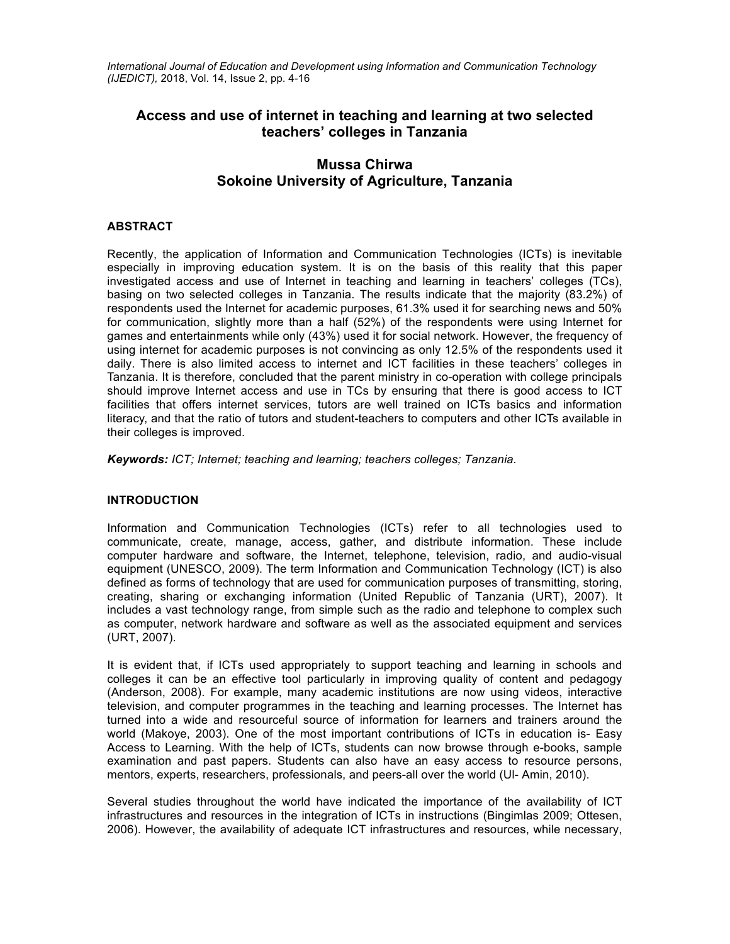*International Journal of Education and Development using Information and Communication Technology (IJEDICT),* 2018, Vol. 14, Issue 2, pp. 4-16

# **Access and use of internet in teaching and learning at two selected teachers' colleges in Tanzania**

# **Mussa Chirwa Sokoine University of Agriculture, Tanzania**

## **ABSTRACT**

Recently, the application of Information and Communication Technologies (ICTs) is inevitable especially in improving education system. It is on the basis of this reality that this paper investigated access and use of Internet in teaching and learning in teachers' colleges (TCs), basing on two selected colleges in Tanzania. The results indicate that the majority (83.2%) of respondents used the Internet for academic purposes, 61.3% used it for searching news and 50% for communication, slightly more than a half (52%) of the respondents were using Internet for games and entertainments while only (43%) used it for social network. However, the frequency of using internet for academic purposes is not convincing as only 12.5% of the respondents used it daily. There is also limited access to internet and ICT facilities in these teachers' colleges in Tanzania. It is therefore, concluded that the parent ministry in co-operation with college principals should improve Internet access and use in TCs by ensuring that there is good access to ICT facilities that offers internet services, tutors are well trained on ICTs basics and information literacy, and that the ratio of tutors and student-teachers to computers and other ICTs available in their colleges is improved.

*Keywords: ICT; Internet; teaching and learning; teachers colleges; Tanzania.*

## **INTRODUCTION**

Information and Communication Technologies (ICTs) refer to all technologies used to communicate, create, manage, access, gather, and distribute information. These include computer hardware and software, the Internet, telephone, television, radio, and audio-visual equipment (UNESCO, 2009). The term Information and Communication Technology (ICT) is also defined as forms of technology that are used for communication purposes of transmitting, storing, creating, sharing or exchanging information (United Republic of Tanzania (URT), 2007). It includes a vast technology range, from simple such as the radio and telephone to complex such as computer, network hardware and software as well as the associated equipment and services (URT, 2007).

It is evident that, if ICTs used appropriately to support teaching and learning in schools and colleges it can be an effective tool particularly in improving quality of content and pedagogy (Anderson, 2008). For example, many academic institutions are now using videos, interactive television, and computer programmes in the teaching and learning processes. The Internet has turned into a wide and resourceful source of information for learners and trainers around the world (Makoye, 2003). One of the most important contributions of ICTs in education is- Easy Access to Learning. With the help of ICTs, students can now browse through e-books, sample examination and past papers. Students can also have an easy access to resource persons, mentors, experts, researchers, professionals, and peers-all over the world (Ul- Amin, 2010).

Several studies throughout the world have indicated the importance of the availability of ICT infrastructures and resources in the integration of ICTs in instructions (Bingimlas 2009; Ottesen, 2006). However, the availability of adequate ICT infrastructures and resources, while necessary,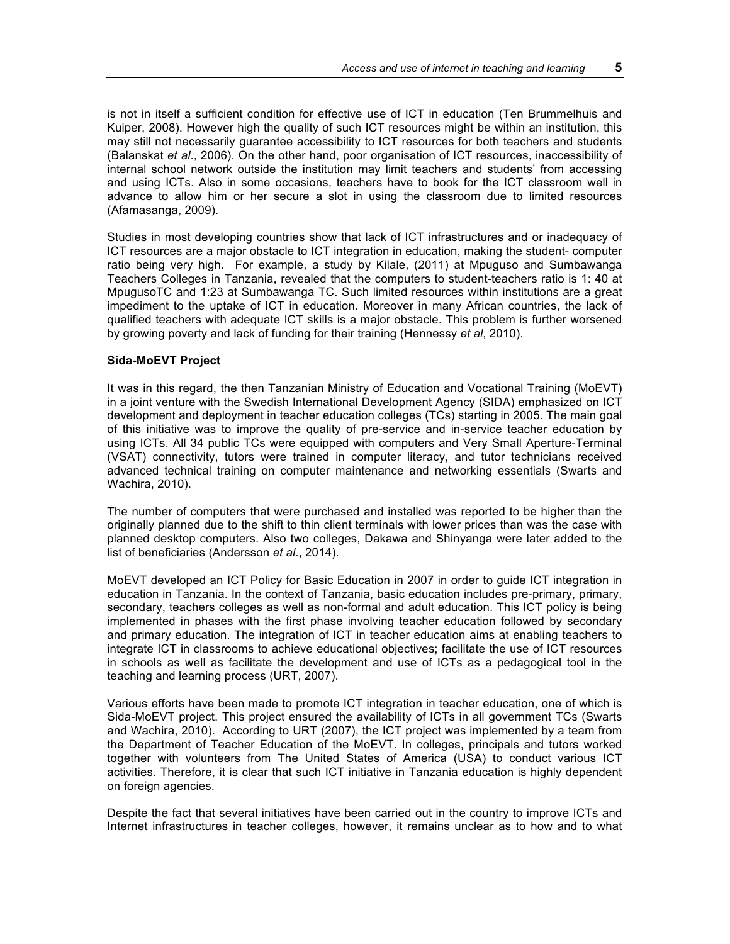is not in itself a sufficient condition for effective use of ICT in education (Ten Brummelhuis and Kuiper, 2008). However high the quality of such ICT resources might be within an institution, this may still not necessarily guarantee accessibility to ICT resources for both teachers and students (Balanskat *et al*., 2006). On the other hand, poor organisation of ICT resources, inaccessibility of internal school network outside the institution may limit teachers and students' from accessing and using ICTs. Also in some occasions, teachers have to book for the ICT classroom well in advance to allow him or her secure a slot in using the classroom due to limited resources (Afamasanga, 2009).

Studies in most developing countries show that lack of ICT infrastructures and or inadequacy of ICT resources are a major obstacle to ICT integration in education, making the student- computer ratio being very high. For example, a study by Kilale, (2011) at Mpuguso and Sumbawanga Teachers Colleges in Tanzania, revealed that the computers to student-teachers ratio is 1: 40 at MpugusoTC and 1:23 at Sumbawanga TC. Such limited resources within institutions are a great impediment to the uptake of ICT in education. Moreover in many African countries, the lack of qualified teachers with adequate ICT skills is a major obstacle. This problem is further worsened by growing poverty and lack of funding for their training (Hennessy *et al*, 2010).

#### **Sida-MoEVT Project**

It was in this regard, the then Tanzanian Ministry of Education and Vocational Training (MoEVT) in a joint venture with the Swedish International Development Agency (SIDA) emphasized on ICT development and deployment in teacher education colleges (TCs) starting in 2005. The main goal of this initiative was to improve the quality of pre-service and in-service teacher education by using ICTs. All 34 public TCs were equipped with computers and Very Small Aperture-Terminal (VSAT) connectivity, tutors were trained in computer literacy, and tutor technicians received advanced technical training on computer maintenance and networking essentials (Swarts and Wachira, 2010).

The number of computers that were purchased and installed was reported to be higher than the originally planned due to the shift to thin client terminals with lower prices than was the case with planned desktop computers. Also two colleges, Dakawa and Shinyanga were later added to the list of beneficiaries (Andersson *et al*., 2014).

MoEVT developed an ICT Policy for Basic Education in 2007 in order to guide ICT integration in education in Tanzania. In the context of Tanzania, basic education includes pre-primary, primary, secondary, teachers colleges as well as non-formal and adult education. This ICT policy is being implemented in phases with the first phase involving teacher education followed by secondary and primary education. The integration of ICT in teacher education aims at enabling teachers to integrate ICT in classrooms to achieve educational objectives; facilitate the use of ICT resources in schools as well as facilitate the development and use of ICTs as a pedagogical tool in the teaching and learning process (URT, 2007).

Various efforts have been made to promote ICT integration in teacher education, one of which is Sida-MoEVT project. This project ensured the availability of ICTs in all government TCs (Swarts and Wachira, 2010). According to URT (2007), the ICT project was implemented by a team from the Department of Teacher Education of the MoEVT. In colleges, principals and tutors worked together with volunteers from The United States of America (USA) to conduct various ICT activities. Therefore, it is clear that such ICT initiative in Tanzania education is highly dependent on foreign agencies.

Despite the fact that several initiatives have been carried out in the country to improve ICTs and Internet infrastructures in teacher colleges, however, it remains unclear as to how and to what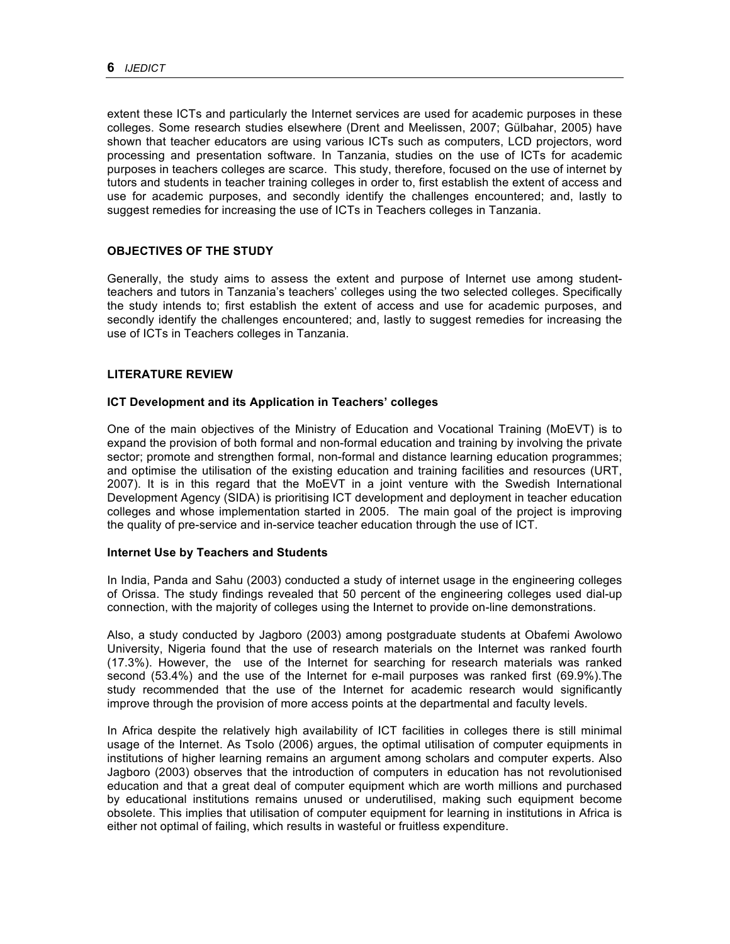extent these ICTs and particularly the Internet services are used for academic purposes in these colleges. Some research studies elsewhere (Drent and Meelissen, 2007; Gülbahar, 2005) have shown that teacher educators are using various ICTs such as computers, LCD projectors, word processing and presentation software. In Tanzania, studies on the use of ICTs for academic purposes in teachers colleges are scarce. This study, therefore, focused on the use of internet by tutors and students in teacher training colleges in order to, first establish the extent of access and use for academic purposes, and secondly identify the challenges encountered; and, lastly to suggest remedies for increasing the use of ICTs in Teachers colleges in Tanzania.

## **OBJECTIVES OF THE STUDY**

Generally, the study aims to assess the extent and purpose of Internet use among studentteachers and tutors in Tanzania's teachers' colleges using the two selected colleges. Specifically the study intends to; first establish the extent of access and use for academic purposes, and secondly identify the challenges encountered; and, lastly to suggest remedies for increasing the use of ICTs in Teachers colleges in Tanzania.

### **LITERATURE REVIEW**

### **ICT Development and its Application in Teachers' colleges**

One of the main objectives of the Ministry of Education and Vocational Training (MoEVT) is to expand the provision of both formal and non-formal education and training by involving the private sector; promote and strengthen formal, non-formal and distance learning education programmes; and optimise the utilisation of the existing education and training facilities and resources (URT, 2007). It is in this regard that the MoEVT in a joint venture with the Swedish International Development Agency (SIDA) is prioritising ICT development and deployment in teacher education colleges and whose implementation started in 2005. The main goal of the project is improving the quality of pre-service and in-service teacher education through the use of ICT.

#### **Internet Use by Teachers and Students**

In India, Panda and Sahu (2003) conducted a study of internet usage in the engineering colleges of Orissa. The study findings revealed that 50 percent of the engineering colleges used dial-up connection, with the majority of colleges using the Internet to provide on-line demonstrations.

Also, a study conducted by Jagboro (2003) among postgraduate students at Obafemi Awolowo University, Nigeria found that the use of research materials on the Internet was ranked fourth (17.3%). However, the use of the Internet for searching for research materials was ranked second (53.4%) and the use of the Internet for e-mail purposes was ranked first (69.9%).The study recommended that the use of the Internet for academic research would significantly improve through the provision of more access points at the departmental and faculty levels.

In Africa despite the relatively high availability of ICT facilities in colleges there is still minimal usage of the Internet. As Tsolo (2006) argues, the optimal utilisation of computer equipments in institutions of higher learning remains an argument among scholars and computer experts. Also Jagboro (2003) observes that the introduction of computers in education has not revolutionised education and that a great deal of computer equipment which are worth millions and purchased by educational institutions remains unused or underutilised, making such equipment become obsolete. This implies that utilisation of computer equipment for learning in institutions in Africa is either not optimal of failing, which results in wasteful or fruitless expenditure.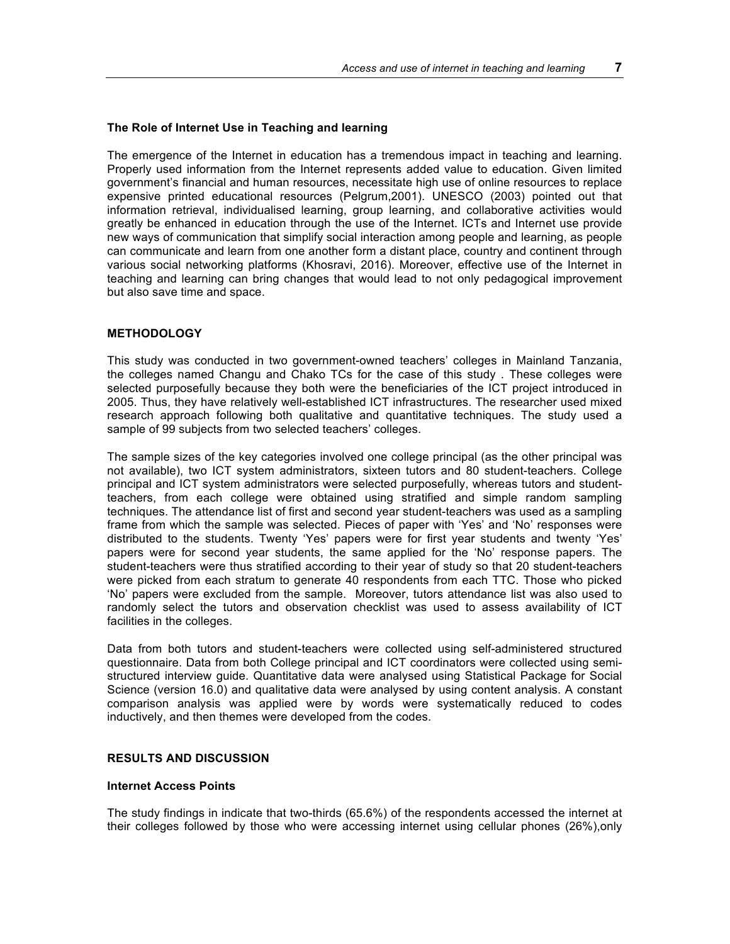#### **The Role of Internet Use in Teaching and learning**

The emergence of the Internet in education has a tremendous impact in teaching and learning. Properly used information from the Internet represents added value to education. Given limited government's financial and human resources, necessitate high use of online resources to replace expensive printed educational resources (Pelgrum,2001). UNESCO (2003) pointed out that information retrieval, individualised learning, group learning, and collaborative activities would greatly be enhanced in education through the use of the Internet. ICTs and Internet use provide new ways of communication that simplify social interaction among people and learning, as people can communicate and learn from one another form a distant place, country and continent through various social networking platforms (Khosravi, 2016). Moreover, effective use of the Internet in teaching and learning can bring changes that would lead to not only pedagogical improvement but also save time and space.

#### **METHODOLOGY**

This study was conducted in two government-owned teachers' colleges in Mainland Tanzania, the colleges named Changu and Chako TCs for the case of this study . These colleges were selected purposefully because they both were the beneficiaries of the ICT project introduced in 2005. Thus, they have relatively well-established ICT infrastructures. The researcher used mixed research approach following both qualitative and quantitative techniques. The study used a sample of 99 subjects from two selected teachers' colleges.

The sample sizes of the key categories involved one college principal (as the other principal was not available), two ICT system administrators, sixteen tutors and 80 student-teachers. College principal and ICT system administrators were selected purposefully, whereas tutors and studentteachers, from each college were obtained using stratified and simple random sampling techniques. The attendance list of first and second year student-teachers was used as a sampling frame from which the sample was selected. Pieces of paper with 'Yes' and 'No' responses were distributed to the students. Twenty 'Yes' papers were for first year students and twenty 'Yes' papers were for second year students, the same applied for the 'No' response papers. The student-teachers were thus stratified according to their year of study so that 20 student-teachers were picked from each stratum to generate 40 respondents from each TTC. Those who picked 'No' papers were excluded from the sample. Moreover, tutors attendance list was also used to randomly select the tutors and observation checklist was used to assess availability of ICT facilities in the colleges.

Data from both tutors and student-teachers were collected using self-administered structured questionnaire. Data from both College principal and ICT coordinators were collected using semistructured interview guide. Quantitative data were analysed using Statistical Package for Social Science (version 16.0) and qualitative data were analysed by using content analysis. A constant comparison analysis was applied were by words were systematically reduced to codes inductively, and then themes were developed from the codes.

#### **RESULTS AND DISCUSSION**

#### **Internet Access Points**

The study findings in indicate that two-thirds (65.6%) of the respondents accessed the internet at their colleges followed by those who were accessing internet using cellular phones (26%),only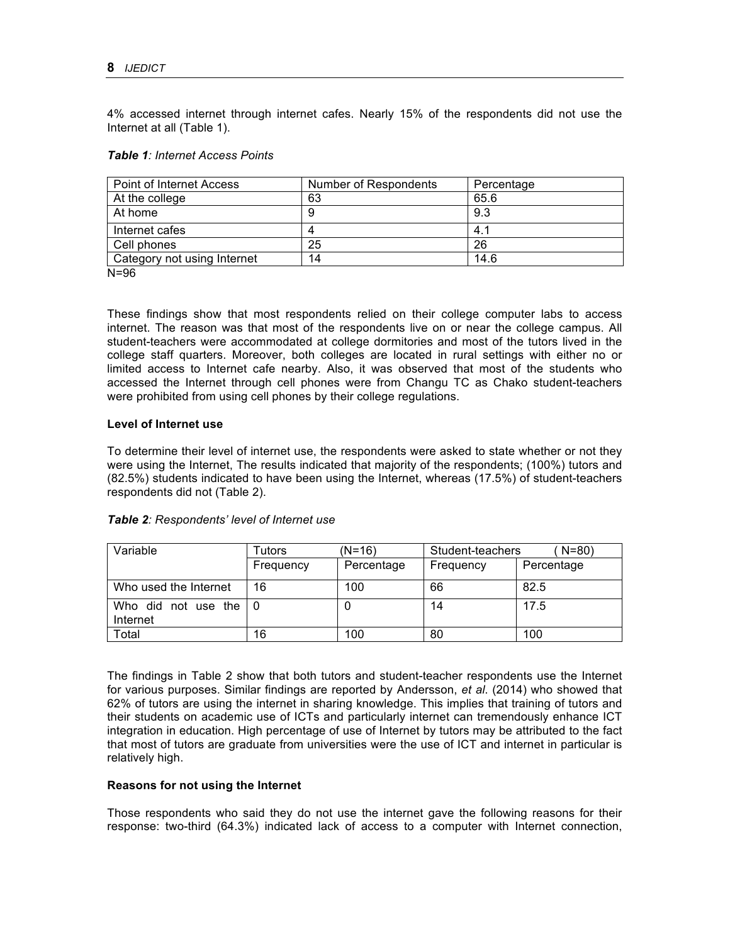4% accessed internet through internet cafes. Nearly 15% of the respondents did not use the Internet at all (Table 1).

### *Table 1: Internet Access Points*

| <b>Point of Internet Access</b> | Number of Respondents | Percentage |
|---------------------------------|-----------------------|------------|
| At the college                  | 63                    | 65.6       |
| At home                         |                       | 9.3        |
| Internet cafes                  |                       | 4.1        |
| Cell phones                     | 25                    | 26         |
| Category not using Internet     | 14                    | 14.6       |

N=96

These findings show that most respondents relied on their college computer labs to access internet. The reason was that most of the respondents live on or near the college campus. All student-teachers were accommodated at college dormitories and most of the tutors lived in the college staff quarters. Moreover, both colleges are located in rural settings with either no or limited access to Internet cafe nearby. Also, it was observed that most of the students who accessed the Internet through cell phones were from Changu TC as Chako student-teachers were prohibited from using cell phones by their college regulations.

### **Level of Internet use**

To determine their level of internet use, the respondents were asked to state whether or not they were using the Internet, The results indicated that majority of the respondents; (100%) tutors and (82.5%) students indicated to have been using the Internet, whereas (17.5%) of student-teachers respondents did not (Table 2).

## *Table 2: Respondents' level of Internet use*

| Variable                        | Tutors    | (N=16)     | Student-teachers | $N = 80$   |
|---------------------------------|-----------|------------|------------------|------------|
|                                 | Frequency | Percentage | Frequency        | Percentage |
| Who used the Internet           | 16        | 100        | 66               | 82.5       |
| Who did not use the<br>Internet |           |            | 14               | 17.5       |
| Total                           | 16        | 100        | 80               | 100        |

The findings in Table 2 show that both tutors and student-teacher respondents use the Internet for various purposes. Similar findings are reported by Andersson, *et al*. (2014) who showed that 62% of tutors are using the internet in sharing knowledge. This implies that training of tutors and their students on academic use of ICTs and particularly internet can tremendously enhance ICT integration in education. High percentage of use of Internet by tutors may be attributed to the fact that most of tutors are graduate from universities were the use of ICT and internet in particular is relatively high.

### **Reasons for not using the Internet**

Those respondents who said they do not use the internet gave the following reasons for their response: two-third (64.3%) indicated lack of access to a computer with Internet connection,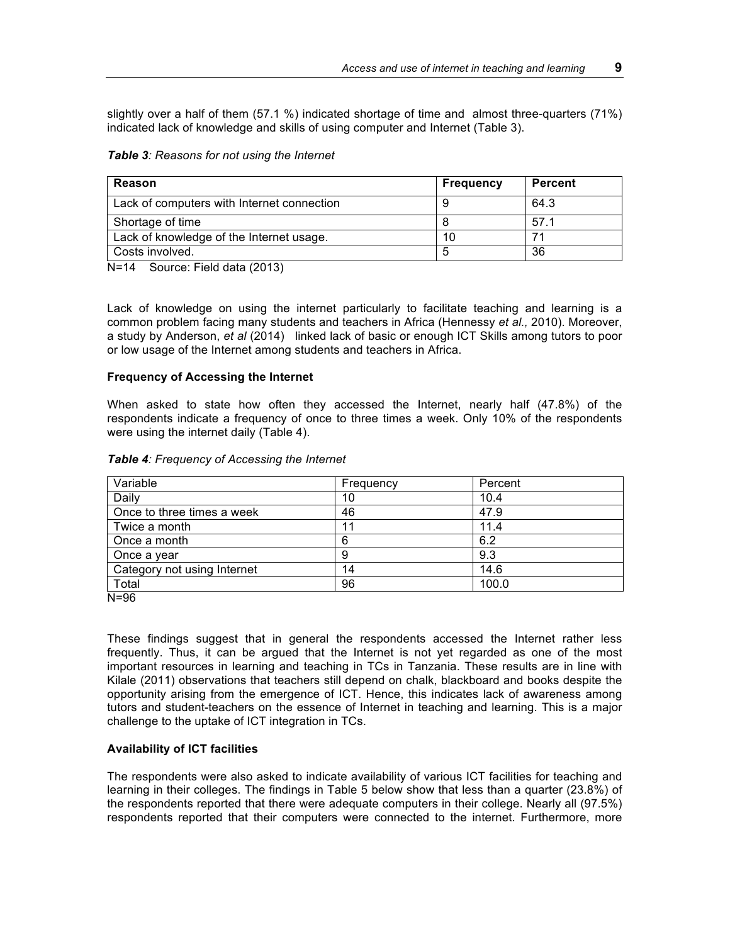slightly over a half of them (57.1 %) indicated shortage of time and almost three-quarters (71%) indicated lack of knowledge and skills of using computer and Internet (Table 3).

#### *Table 3: Reasons for not using the Internet*

| Reason                                     | <b>Frequency</b> | <b>Percent</b> |
|--------------------------------------------|------------------|----------------|
| Lack of computers with Internet connection |                  | 64.3           |
| Shortage of time                           |                  | 57.1           |
| Lack of knowledge of the Internet usage.   | 10               |                |
| Costs involved.                            |                  | 36             |

N=14 Source: Field data (2013)

Lack of knowledge on using the internet particularly to facilitate teaching and learning is a common problem facing many students and teachers in Africa (Hennessy *et al.,* 2010). Moreover, a study by Anderson, *et al* (2014) linked lack of basic or enough ICT Skills among tutors to poor or low usage of the Internet among students and teachers in Africa.

#### **Frequency of Accessing the Internet**

When asked to state how often they accessed the Internet, nearly half (47.8%) of the respondents indicate a frequency of once to three times a week. Only 10% of the respondents were using the internet daily (Table 4).

| Variable                    | Frequency | Percent |  |
|-----------------------------|-----------|---------|--|
| Daily                       | 10        | 10.4    |  |
| Once to three times a week  | 46        | 47.9    |  |
| Twice a month               |           | 11.4    |  |
| Once a month                | 6         | 6.2     |  |
| Once a year                 | 9         | 9.3     |  |
| Category not using Internet | 14        | 14.6    |  |
| Total                       | 96        | 100.0   |  |

#### *Table 4: Frequency of Accessing the Internet*

N=96

These findings suggest that in general the respondents accessed the Internet rather less frequently. Thus, it can be argued that the Internet is not yet regarded as one of the most important resources in learning and teaching in TCs in Tanzania. These results are in line with Kilale (2011) observations that teachers still depend on chalk, blackboard and books despite the opportunity arising from the emergence of ICT. Hence, this indicates lack of awareness among tutors and student-teachers on the essence of Internet in teaching and learning. This is a major challenge to the uptake of ICT integration in TCs.

### **Availability of ICT facilities**

The respondents were also asked to indicate availability of various ICT facilities for teaching and learning in their colleges. The findings in Table 5 below show that less than a quarter (23.8%) of the respondents reported that there were adequate computers in their college. Nearly all (97.5%) respondents reported that their computers were connected to the internet. Furthermore, more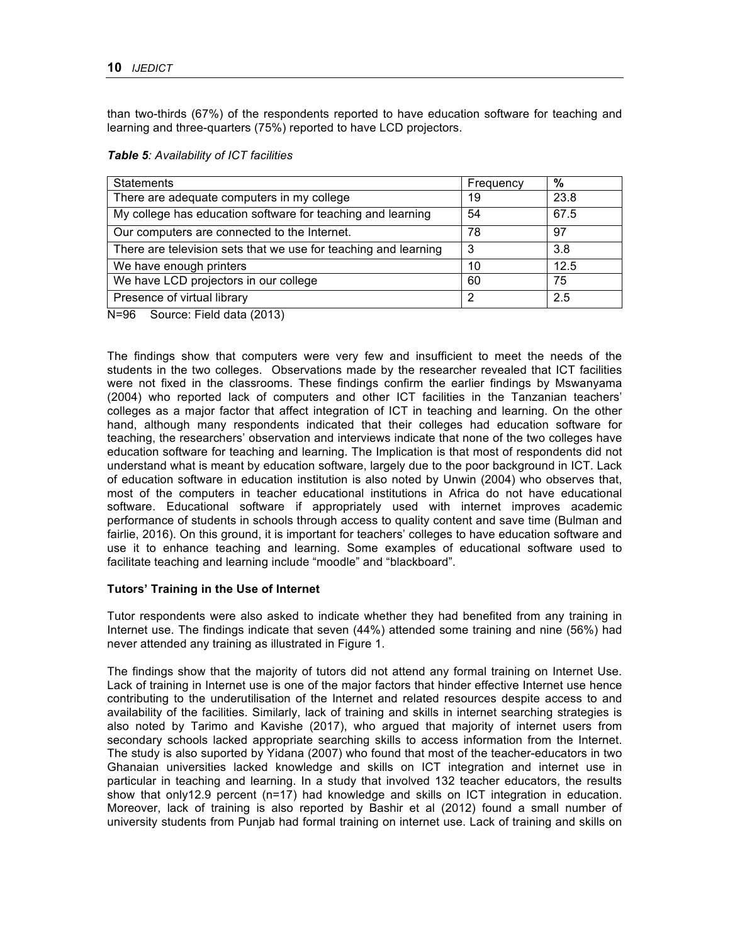than two-thirds (67%) of the respondents reported to have education software for teaching and learning and three-quarters (75%) reported to have LCD projectors.

| <b>Statements</b>                                               | Frequency | %    |
|-----------------------------------------------------------------|-----------|------|
| There are adequate computers in my college                      | 19        | 23.8 |
| My college has education software for teaching and learning     | 54        | 67.5 |
| Our computers are connected to the Internet.                    | 78        | 97   |
| There are television sets that we use for teaching and learning | 3         | 3.8  |
| We have enough printers                                         | 10        | 12.5 |
| We have LCD projectors in our college                           | 60        | 75   |
| Presence of virtual library                                     | ာ         | 2.5  |

N=96 Source: Field data (2013)

The findings show that computers were very few and insufficient to meet the needs of the students in the two colleges. Observations made by the researcher revealed that ICT facilities were not fixed in the classrooms. These findings confirm the earlier findings by Mswanyama (2004) who reported lack of computers and other ICT facilities in the Tanzanian teachers' colleges as a major factor that affect integration of ICT in teaching and learning. On the other hand, although many respondents indicated that their colleges had education software for teaching, the researchers' observation and interviews indicate that none of the two colleges have education software for teaching and learning. The Implication is that most of respondents did not understand what is meant by education software, largely due to the poor background in ICT. Lack of education software in education institution is also noted by Unwin (2004) who observes that, most of the computers in teacher educational institutions in Africa do not have educational software. Educational software if appropriately used with internet improves academic performance of students in schools through access to quality content and save time (Bulman and fairlie, 2016). On this ground, it is important for teachers' colleges to have education software and use it to enhance teaching and learning. Some examples of educational software used to facilitate teaching and learning include "moodle" and "blackboard".

## **Tutors' Training in the Use of Internet**

Tutor respondents were also asked to indicate whether they had benefited from any training in Internet use. The findings indicate that seven (44%) attended some training and nine (56%) had never attended any training as illustrated in Figure 1.

The findings show that the majority of tutors did not attend any formal training on Internet Use. Lack of training in Internet use is one of the major factors that hinder effective Internet use hence contributing to the underutilisation of the Internet and related resources despite access to and availability of the facilities. Similarly, lack of training and skills in internet searching strategies is also noted by Tarimo and Kavishe (2017), who argued that majority of internet users from secondary schools lacked appropriate searching skills to access information from the Internet. The study is also suported by Yidana (2007) who found that most of the teacher-educators in two Ghanaian universities lacked knowledge and skills on ICT integration and internet use in particular in teaching and learning. In a study that involved 132 teacher educators, the results show that only12.9 percent (n=17) had knowledge and skills on ICT integration in education. Moreover, lack of training is also reported by Bashir et al (2012) found a small number of university students from Punjab had formal training on internet use. Lack of training and skills on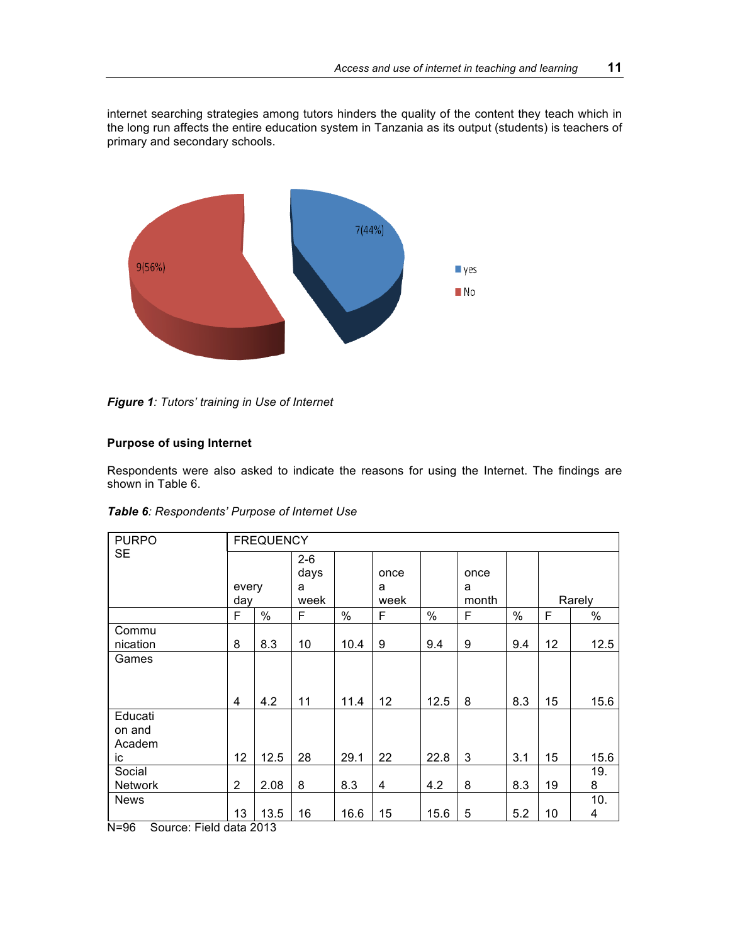internet searching strategies among tutors hinders the quality of the content they teach which in the long run affects the entire education system in Tanzania as its output (students) is teachers of primary and secondary schools.



*Figure 1: Tutors' training in Use of Internet*

## **Purpose of using Internet**

Respondents were also asked to indicate the reasons for using the Internet. The findings are shown in Table 6.

| Table 6: Respondents' Purpose of Internet Use |                |                  |                              |              |                   |             |                    |            |          |              |
|-----------------------------------------------|----------------|------------------|------------------------------|--------------|-------------------|-------------|--------------------|------------|----------|--------------|
| <b>PURPO</b>                                  |                | <b>FREQUENCY</b> |                              |              |                   |             |                    |            |          |              |
| <b>SE</b>                                     | every<br>day   |                  | $2 - 6$<br>days<br>a<br>week |              | once<br>a<br>week |             | once<br>a<br>month |            |          | Rarely       |
|                                               | F              | $\%$             | F                            | $\%$         | F                 | $\%$        | F                  | $\%$       | F        | $\%$         |
| Commu<br>nication<br>Games                    | 8<br>4         | 8.3<br>4.2       | 10<br>11                     | 10.4<br>11.4 | 9<br>12           | 9.4<br>12.5 | 9<br>8             | 9.4<br>8.3 | 12<br>15 | 12.5<br>15.6 |
| Educati<br>on and<br>Academ<br>ic             | 12             | 12.5             | 28                           | 29.1         | 22                | 22.8        | 3                  | 3.1        | 15       | 15.6         |
| Social<br>Network                             | $\overline{2}$ | 2.08             | 8                            | 8.3          | 4                 | 4.2         | 8                  | 8.3        | 19       | 19.<br>8     |

13 | 13.5 | 16 | 16.6 | 15 | 15.6 | 5 | 5.2 | 10

N=96 Source: Field data 2013

News

10. 4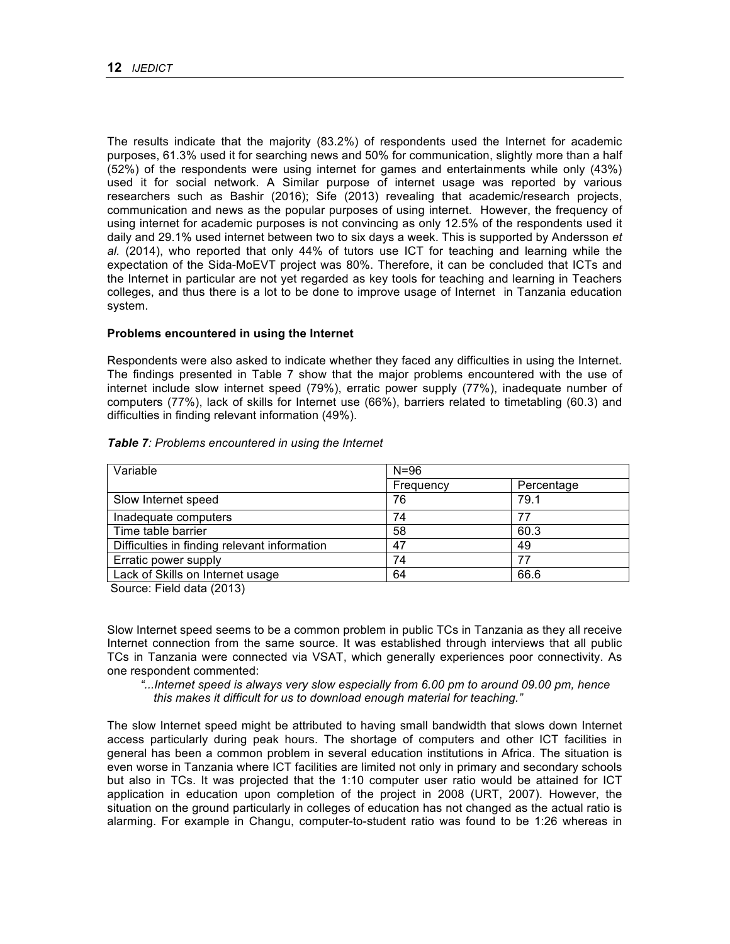The results indicate that the majority (83.2%) of respondents used the Internet for academic purposes, 61.3% used it for searching news and 50% for communication, slightly more than a half (52%) of the respondents were using internet for games and entertainments while only (43%) used it for social network. A Similar purpose of internet usage was reported by various researchers such as Bashir (2016); Sife (2013) revealing that academic/research projects, communication and news as the popular purposes of using internet. However, the frequency of using internet for academic purposes is not convincing as only 12.5% of the respondents used it daily and 29.1% used internet between two to six days a week. This is supported by Andersson *et al.* (2014), who reported that only 44% of tutors use ICT for teaching and learning while the expectation of the Sida-MoEVT project was 80%. Therefore, it can be concluded that ICTs and the Internet in particular are not yet regarded as key tools for teaching and learning in Teachers colleges, and thus there is a lot to be done to improve usage of Internet in Tanzania education system.

#### **Problems encountered in using the Internet**

Respondents were also asked to indicate whether they faced any difficulties in using the Internet. The findings presented in Table 7 show that the major problems encountered with the use of internet include slow internet speed (79%), erratic power supply (77%), inadequate number of computers (77%), lack of skills for Internet use (66%), barriers related to timetabling (60.3) and difficulties in finding relevant information (49%).

| Variable                                     | $N = 96$  |            |  |
|----------------------------------------------|-----------|------------|--|
|                                              | Frequency | Percentage |  |
| Slow Internet speed                          | 76        | 79.1       |  |
| Inadequate computers                         | 74        | 77         |  |
| Time table barrier                           | 58        | 60.3       |  |
| Difficulties in finding relevant information | 47        | 49         |  |
| Erratic power supply                         | 74        | 77         |  |
| Lack of Skills on Internet usage             | 64        | 66.6       |  |

#### *Table 7: Problems encountered in using the Internet*

Source: Field data (2013)

Slow Internet speed seems to be a common problem in public TCs in Tanzania as they all receive Internet connection from the same source. It was established through interviews that all public TCs in Tanzania were connected via VSAT, which generally experiences poor connectivity. As one respondent commented:

 *"...Internet speed is always very slow especially from 6.00 pm to around 09.00 pm, hence this makes it difficult for us to download enough material for teaching."*

The slow Internet speed might be attributed to having small bandwidth that slows down Internet access particularly during peak hours. The shortage of computers and other ICT facilities in general has been a common problem in several education institutions in Africa. The situation is even worse in Tanzania where ICT facilities are limited not only in primary and secondary schools but also in TCs. It was projected that the 1:10 computer user ratio would be attained for ICT application in education upon completion of the project in 2008 (URT, 2007). However, the situation on the ground particularly in colleges of education has not changed as the actual ratio is alarming. For example in Changu, computer-to-student ratio was found to be 1:26 whereas in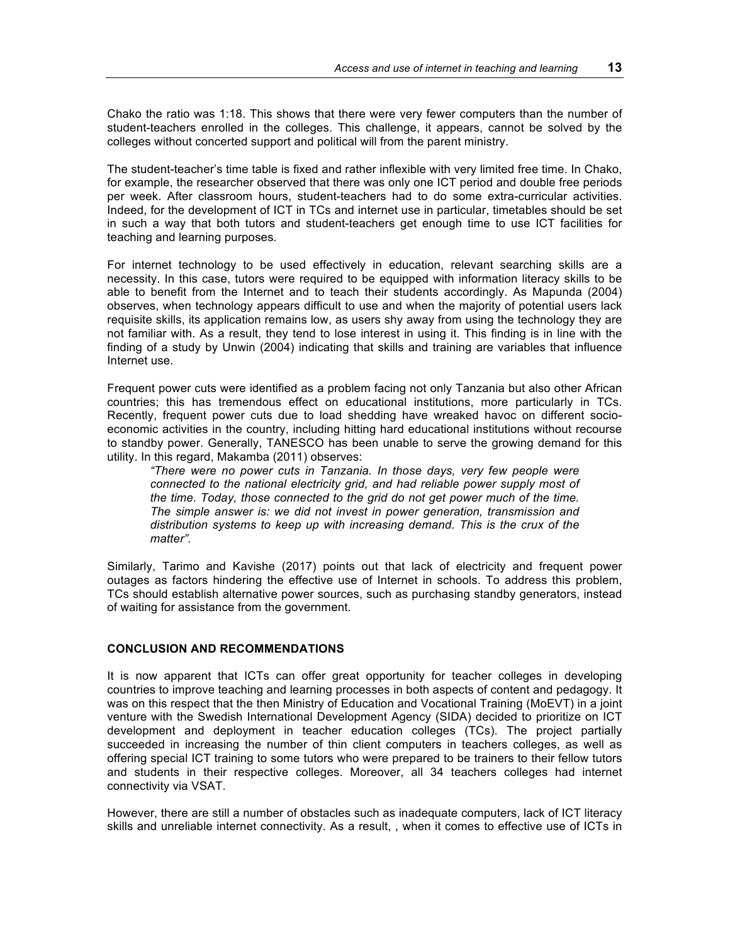Chako the ratio was 1:18. This shows that there were very fewer computers than the number of student-teachers enrolled in the colleges. This challenge, it appears, cannot be solved by the colleges without concerted support and political will from the parent ministry.

The student-teacher's time table is fixed and rather inflexible with very limited free time. In Chako, for example, the researcher observed that there was only one ICT period and double free periods per week. After classroom hours, student-teachers had to do some extra-curricular activities. Indeed, for the development of ICT in TCs and internet use in particular, timetables should be set in such a way that both tutors and student-teachers get enough time to use ICT facilities for teaching and learning purposes.

For internet technology to be used effectively in education, relevant searching skills are a necessity. In this case, tutors were required to be equipped with information literacy skills to be able to benefit from the Internet and to teach their students accordingly. As Mapunda (2004) observes, when technology appears difficult to use and when the majority of potential users lack requisite skills, its application remains low, as users shy away from using the technology they are not familiar with. As a result, they tend to lose interest in using it. This finding is in line with the finding of a study by Unwin (2004) indicating that skills and training are variables that influence Internet use.

Frequent power cuts were identified as a problem facing not only Tanzania but also other African countries; this has tremendous effect on educational institutions, more particularly in TCs. Recently, frequent power cuts due to load shedding have wreaked havoc on different socioeconomic activities in the country, including hitting hard educational institutions without recourse to standby power. Generally, TANESCO has been unable to serve the growing demand for this utility. In this regard, Makamba (2011) observes:

*"There were no power cuts in Tanzania. In those days, very few people were connected to the national electricity grid, and had reliable power supply most of the time. Today, those connected to the grid do not get power much of the time. The simple answer is: we did not invest in power generation, transmission and distribution systems to keep up with increasing demand. This is the crux of the matter".*

Similarly, Tarimo and Kavishe (2017) points out that lack of electricity and frequent power outages as factors hindering the effective use of Internet in schools. To address this problem, TCs should establish alternative power sources, such as purchasing standby generators, instead of waiting for assistance from the government.

### **CONCLUSION AND RECOMMENDATIONS**

It is now apparent that ICTs can offer great opportunity for teacher colleges in developing countries to improve teaching and learning processes in both aspects of content and pedagogy. It was on this respect that the then Ministry of Education and Vocational Training (MoEVT) in a joint venture with the Swedish International Development Agency (SIDA) decided to prioritize on ICT development and deployment in teacher education colleges (TCs). The project partially succeeded in increasing the number of thin client computers in teachers colleges, as well as offering special ICT training to some tutors who were prepared to be trainers to their fellow tutors and students in their respective colleges. Moreover, all 34 teachers colleges had internet connectivity via VSAT.

However, there are still a number of obstacles such as inadequate computers, lack of ICT literacy skills and unreliable internet connectivity. As a result, , when it comes to effective use of ICTs in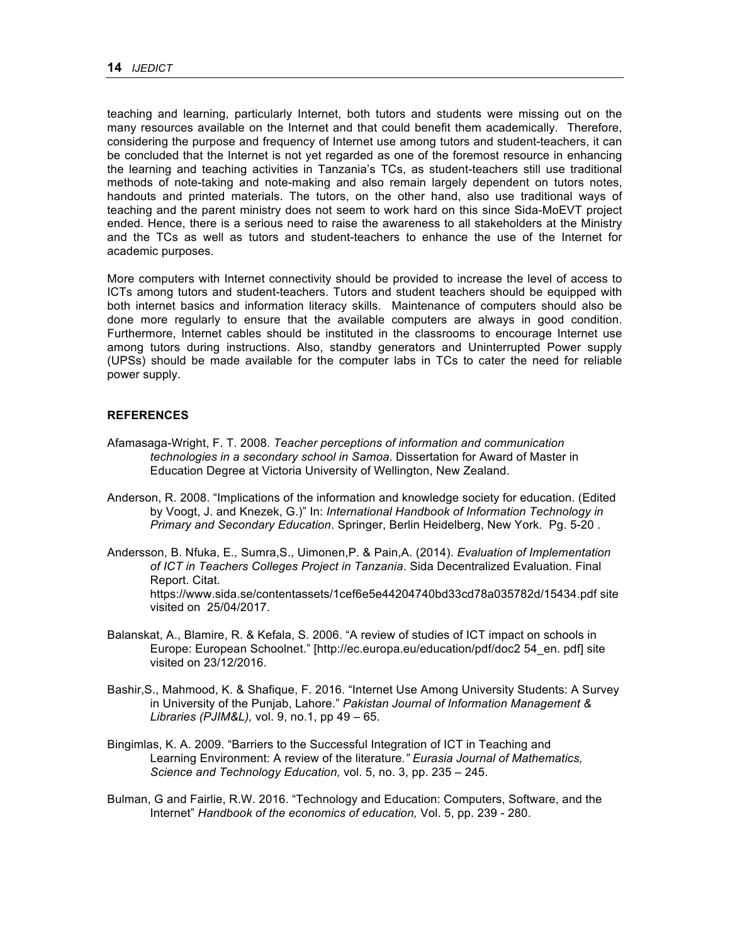teaching and learning, particularly Internet, both tutors and students were missing out on the many resources available on the Internet and that could benefit them academically. Therefore, considering the purpose and frequency of Internet use among tutors and student-teachers, it can be concluded that the Internet is not yet regarded as one of the foremost resource in enhancing the learning and teaching activities in Tanzania's TCs, as student-teachers still use traditional methods of note-taking and note-making and also remain largely dependent on tutors notes, handouts and printed materials. The tutors, on the other hand, also use traditional ways of teaching and the parent ministry does not seem to work hard on this since Sida-MoEVT project ended. Hence, there is a serious need to raise the awareness to all stakeholders at the Ministry and the TCs as well as tutors and student-teachers to enhance the use of the Internet for academic purposes.

More computers with Internet connectivity should be provided to increase the level of access to ICTs among tutors and student-teachers. Tutors and student teachers should be equipped with both internet basics and information literacy skills. Maintenance of computers should also be done more regularly to ensure that the available computers are always in good condition. Furthermore, Internet cables should be instituted in the classrooms to encourage Internet use among tutors during instructions. Also, standby generators and Uninterrupted Power supply (UPSs) should be made available for the computer labs in TCs to cater the need for reliable power supply.

### **REFERENCES**

- Afamasaga-Wright, F. T. 2008. *Teacher perceptions of information and communication technologies in a secondary school in Samoa*. Dissertation for Award of Master in Education Degree at Victoria University of Wellington, New Zealand.
- Anderson, R. 2008. "Implications of the information and knowledge society for education. (Edited by Voogt, J. and Knezek, G.)" In: *International Handbook of Information Technology in Primary and Secondary Education*. Springer, Berlin Heidelberg, New York. Pg. 5-20 .
- Andersson, B. Nfuka, E*.,* Sumra,S., Uimonen,P. & Pain,A. (2014). *Evaluation of Implementation of ICT in Teachers Colleges Project in Tanzania*. Sida Decentralized Evaluation*.* Final Report. Citat. https://www.sida.se/contentassets/1cef6e5e44204740bd33cd78a035782d/15434.pdf site visited on 25/04/2017.
- Balanskat, A., Blamire, R. & Kefala, S. 2006. "A review of studies of ICT impact on schools in Europe: European Schoolnet." [http://ec.europa.eu/education/pdf/doc2 54\_en. pdf] site visited on 23/12/2016.
- Bashir,S., Mahmood, K. & Shafique, F. 2016. "Internet Use Among University Students: A Survey in University of the Punjab, Lahore." *Pakistan Journal of Information Management & Libraries (PJIM&L),* vol. 9, no.1, pp 49 – 65.
- Bingimlas, K. A. 2009. "Barriers to the Successful Integration of ICT in Teaching and Learning Environment: A review of the literature*." Eurasia Journal of Mathematics, Science and Technology Education,* vol. 5, no. 3, pp. 235 – 245.
- Bulman, G and Fairlie, R.W. 2016. "Technology and Education: Computers, Software, and the Internet" *Handbook of the economics of education,* Vol. 5, pp. 239 - 280.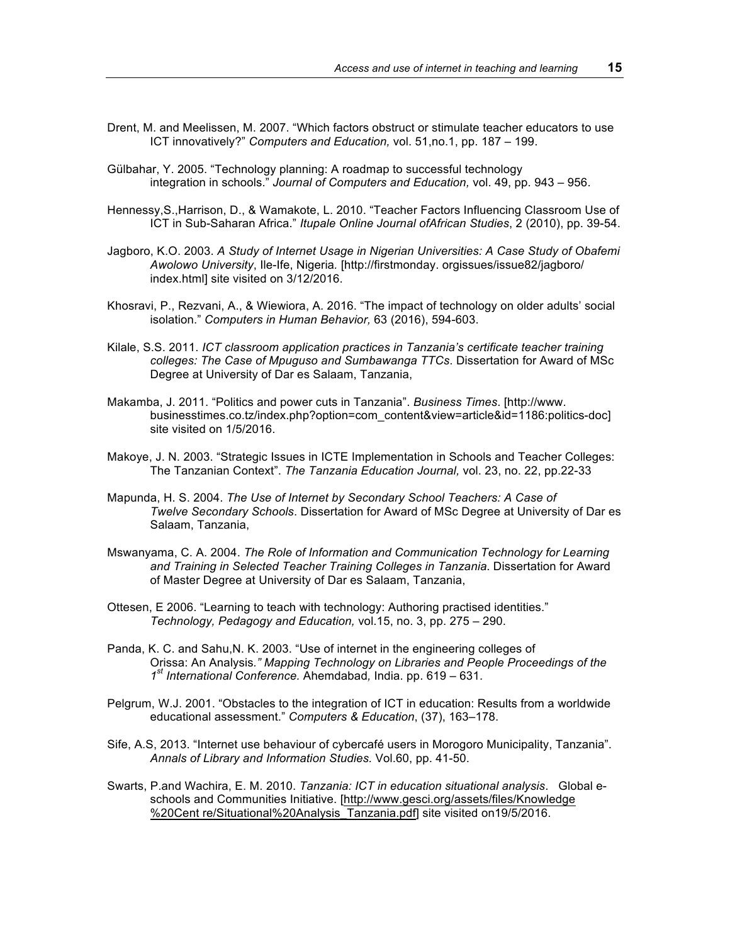- Drent, M. and Meelissen, M. 2007. "Which factors obstruct or stimulate teacher educators to use ICT innovatively?" *Computers and Education,* vol. 51,no.1, pp. 187 – 199.
- Gülbahar, Y. 2005. "Technology planning: A roadmap to successful technology integration in schools." *Journal of Computers and Education,* vol. 49, pp. 943 – 956.
- Hennessy,S.,Harrison, D., & Wamakote, L. 2010. "Teacher Factors Influencing Classroom Use of ICT in Sub-Saharan Africa." *Itupale Online Journal ofAfrican Studies*, 2 (2010), pp. 39-54.
- Jagboro, K.O. 2003. *A Study of Internet Usage in Nigerian Universities: A Case Study of Obafemi Awolowo University*, Ile-Ife, Nigeria*.* [http://firstmonday. orgissues/issue82/jagboro/ index.html] site visited on 3/12/2016.
- Khosravi, P., Rezvani, A., & Wiewiora, A. 2016. "The impact of technology on older adults' social isolation." *Computers in Human Behavior,* 63 (2016), 594-603.
- Kilale, S.S. 2011. *ICT classroom application practices in Tanzania's certificate teacher training colleges: The Case of Mpuguso and Sumbawanga TTCs*. Dissertation for Award of MSc Degree at University of Dar es Salaam, Tanzania,
- Makamba, J. 2011. "Politics and power cuts in Tanzania". *Business Times*. [http://www. businesstimes.co.tz/index.php?option=com\_content&view=article&id=1186:politics-doc] site visited on 1/5/2016.
- Makoye, J. N. 2003. "Strategic Issues in ICTE Implementation in Schools and Teacher Colleges: The Tanzanian Context". *The Tanzania Education Journal,* vol. 23, no. 22, pp.22-33
- Mapunda, H. S. 2004. *The Use of Internet by Secondary School Teachers: A Case of Twelve Secondary Schools*. Dissertation for Award of MSc Degree at University of Dar es Salaam, Tanzania,
- Mswanyama, C. A. 2004. *The Role of Information and Communication Technology for Learning and Training in Selected Teacher Training Colleges in Tanzania*. Dissertation for Award of Master Degree at University of Dar es Salaam, Tanzania,
- Ottesen, E 2006. "Learning to teach with technology: Authoring practised identities." *Technology, Pedagogy and Education,* vol.15, no. 3, pp. 275 – 290.
- Panda, K. C. and Sahu,N. K. 2003. "Use of internet in the engineering colleges of Orissa: An Analysis*." Mapping Technology on Libraries and People Proceedings of the 1st International Conference.* Ahemdabad*,* India. pp. 619 – 631.
- Pelgrum, W.J. 2001. "Obstacles to the integration of ICT in education: Results from a worldwide educational assessment." *Computers & Education*, (37), 163–178.
- Sife, A.S, 2013. "Internet use behaviour of cybercafé users in Morogoro Municipality, Tanzania". *Annals of Library and Information Studies.* Vol.60, pp. 41-50.
- Swarts, P.and Wachira, E. M. 2010. *Tanzania: ICT in education situational analysis*. Global eschools and Communities Initiative. [http://www.gesci.org/assets/files/Knowledge %20Cent re/Situational%20Analysis\_Tanzania.pdf] site visited on19/5/2016.